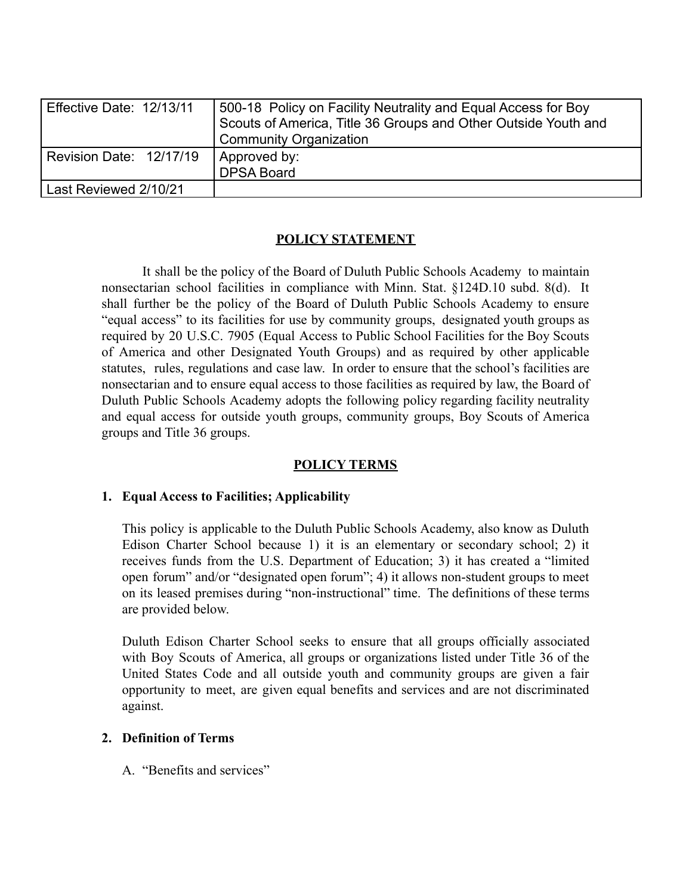| Effective Date: 12/13/11 | 500-18 Policy on Facility Neutrality and Equal Access for Boy<br>Scouts of America, Title 36 Groups and Other Outside Youth and<br>Community Organization |
|--------------------------|-----------------------------------------------------------------------------------------------------------------------------------------------------------|
| Revision Date: 12/17/19  | Approved by:<br><b>DPSA Board</b>                                                                                                                         |
| Last Reviewed 2/10/21    |                                                                                                                                                           |

## **POLICY STATEMENT**

It shall be the policy of the Board of Duluth Public Schools Academy to maintain nonsectarian school facilities in compliance with Minn. Stat. §124D.10 subd. 8(d). It shall further be the policy of the Board of Duluth Public Schools Academy to ensure "equal access" to its facilities for use by community groups, designated youth groups as required by 20 U.S.C. 7905 (Equal Access to Public School Facilities for the Boy Scouts of America and other Designated Youth Groups) and as required by other applicable statutes, rules, regulations and case law. In order to ensure that the school's facilities are nonsectarian and to ensure equal access to those facilities as required by law, the Board of Duluth Public Schools Academy adopts the following policy regarding facility neutrality and equal access for outside youth groups, community groups, Boy Scouts of America groups and Title 36 groups.

## **POLICY TERMS**

## **1. Equal Access to Facilities; Applicability**

This policy is applicable to the Duluth Public Schools Academy, also know as Duluth Edison Charter School because 1) it is an elementary or secondary school; 2) it receives funds from the U.S. Department of Education; 3) it has created a "limited open forum" and/or "designated open forum"; 4) it allows non-student groups to meet on its leased premises during "non-instructional" time. The definitions of these terms are provided below.

Duluth Edison Charter School seeks to ensure that all groups officially associated with Boy Scouts of America, all groups or organizations listed under Title 36 of the United States Code and all outside youth and community groups are given a fair opportunity to meet, are given equal benefits and services and are not discriminated against.

## **2. Definition of Terms**

A. "Benefits and services"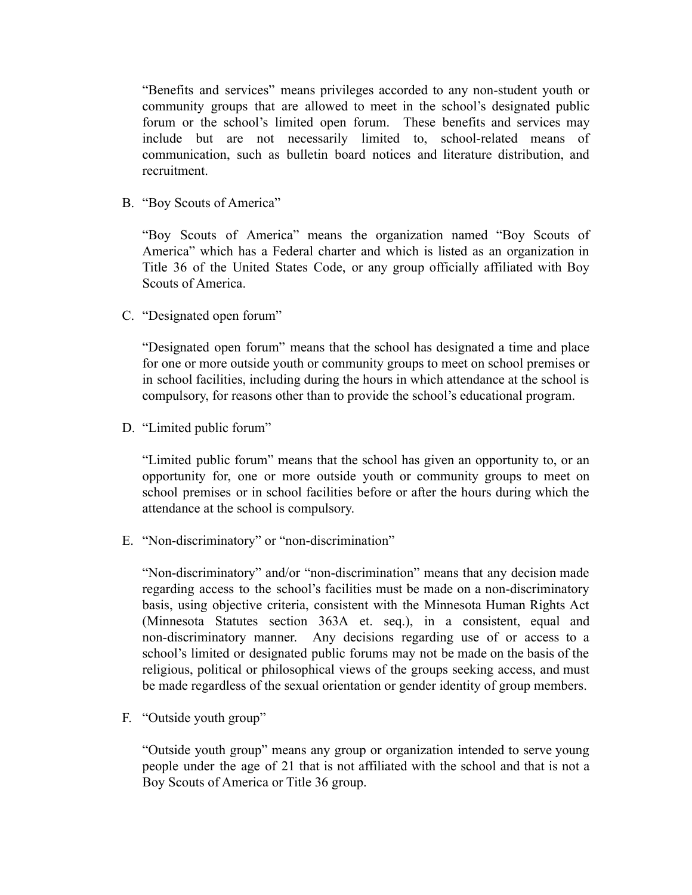"Benefits and services" means privileges accorded to any non-student youth or community groups that are allowed to meet in the school's designated public forum or the school's limited open forum. These benefits and services may include but are not necessarily limited to, school-related means of communication, such as bulletin board notices and literature distribution, and recruitment.

B. "Boy Scouts of America"

"Boy Scouts of America" means the organization named "Boy Scouts of America" which has a Federal charter and which is listed as an organization in Title 36 of the United States Code, or any group officially affiliated with Boy Scouts of America.

C. "Designated open forum"

"Designated open forum" means that the school has designated a time and place for one or more outside youth or community groups to meet on school premises or in school facilities, including during the hours in which attendance at the school is compulsory, for reasons other than to provide the school's educational program.

D. "Limited public forum"

"Limited public forum" means that the school has given an opportunity to, or an opportunity for, one or more outside youth or community groups to meet on school premises or in school facilities before or after the hours during which the attendance at the school is compulsory.

E. "Non-discriminatory" or "non-discrimination"

"Non-discriminatory" and/or "non-discrimination" means that any decision made regarding access to the school's facilities must be made on a non-discriminatory basis, using objective criteria, consistent with the Minnesota Human Rights Act (Minnesota Statutes section 363A et. seq.), in a consistent, equal and non-discriminatory manner. Any decisions regarding use of or access to a school's limited or designated public forums may not be made on the basis of the religious, political or philosophical views of the groups seeking access, and must be made regardless of the sexual orientation or gender identity of group members.

F. "Outside youth group"

"Outside youth group" means any group or organization intended to serve young people under the age of 21 that is not affiliated with the school and that is not a Boy Scouts of America or Title 36 group.